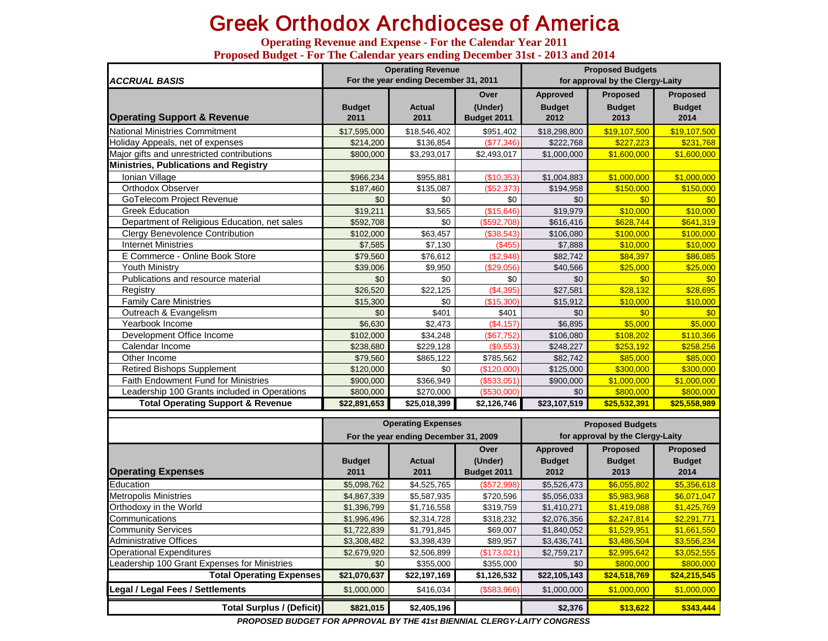# Greek Orthodox Archdiocese of America

**Operating Revenue and Expense - For the Calendar Year 2011 Proposed Budget - For The Calendar years ending December 31st - 2013 and 2014**

| <b>ACCRUAL BASIS</b>                         |                       | <b>Operating Revenue</b><br>For the year ending December 31, 2011 |                        | <b>Proposed Budgets</b><br>for approval by the Clergy-Laity |                       |                       |  |
|----------------------------------------------|-----------------------|-------------------------------------------------------------------|------------------------|-------------------------------------------------------------|-----------------------|-----------------------|--|
|                                              |                       |                                                                   | Over                   | Approved                                                    | <b>Proposed</b>       | <b>Proposed</b>       |  |
| <b>Operating Support &amp; Revenue</b>       | <b>Budget</b><br>2011 | Actual<br>2011                                                    | (Under)<br>Budget 2011 | <b>Budget</b><br>2012                                       | <b>Budget</b><br>2013 | <b>Budget</b><br>2014 |  |
| <b>National Ministries Commitment</b>        | \$17,595,000          | \$18,546,402                                                      | \$951,402              | \$18,298,800                                                | \$19,107,500          | \$19,107,500          |  |
| Holiday Appeals, net of expenses             | \$214,200             | \$136,854                                                         | (\$77,346)             | \$222,768                                                   | \$227.223             | \$231,768             |  |
| Major gifts and unrestricted contributions   | \$800,000             | \$3,293,017                                                       | \$2,493,017            | \$1,000,000                                                 | \$1,600,000           | \$1,600,000           |  |
| <b>Ministries, Publications and Registry</b> |                       |                                                                   |                        |                                                             |                       |                       |  |
| Ionian Village                               | \$966,234             | \$955,881                                                         | (\$10,353)             | \$1,004,883                                                 | \$1,000,000           | \$1,000,000           |  |
| Orthodox Observer                            | \$187,460             | \$135,087                                                         | (\$52,373)             | \$194,958                                                   | \$150,000             | \$150,000             |  |
| GoTelecom Project Revenue                    | \$0                   | \$0                                                               | \$0                    | \$0                                                         | \$0                   | \$0                   |  |
| <b>Greek Education</b>                       | \$19,211              | \$3,565                                                           | (\$15,646)             | \$19,979                                                    | \$10,000              | \$10,000              |  |
| Department of Religious Education, net sales | \$592,708             | \$0                                                               | (\$592,708)            | \$616,416                                                   | \$628,744             | \$641,319             |  |
| <b>Clergy Benevolence Contribution</b>       | \$102,000             | \$63,457                                                          | (\$38,543)             | \$106,080                                                   | \$100,000             | \$100,000             |  |
| <b>Internet Ministries</b>                   | \$7,585               | \$7,130                                                           | (\$455)                | \$7,888                                                     | \$10,000              | \$10,000              |  |
| E Commerce - Online Book Store               | \$79,560              | \$76,612                                                          | (\$2,948)              | \$82,742                                                    | \$84.397              | \$86,085              |  |
| <b>Youth Ministry</b>                        | \$39,006              | \$9,950                                                           | (\$29,056)             | \$40,566                                                    | \$25,000              | \$25,000              |  |
| Publications and resource material           | \$0                   | \$0                                                               | \$0                    | \$0                                                         | \$0                   | \$0                   |  |
| Registry                                     | \$26,520              | \$22,125                                                          | (\$4,395)              | \$27,581                                                    | \$28.132              | \$28,695              |  |
| <b>Family Care Ministries</b>                | \$15,300              | \$0                                                               | (\$15,300)             | \$15,912                                                    | \$10,000              | \$10,000              |  |
| Outreach & Evangelism                        | \$0                   | \$401                                                             | \$401                  | \$0                                                         | \$0                   | \$0                   |  |
| Yearbook Income                              | \$6,630               | \$2,473                                                           | (\$4,157)              | \$6,895                                                     | \$5,000               | \$5,000               |  |
| Development Office Income                    | \$102,000             | \$34,248                                                          | (\$67,752)             | \$106,080                                                   | \$108,202             | \$110,366             |  |
| Calendar Income                              | \$238,680             | \$229,128                                                         | (\$9,553)              | \$248,227                                                   | \$253,192             | \$258,256             |  |
| Other Income                                 | \$79,560              | \$865,122                                                         | \$785,562              | \$82,742                                                    | \$85,000              | \$85,000              |  |
| <b>Retired Bishops Supplement</b>            | \$120,000             | \$0                                                               | (\$120,000)            | \$125,000                                                   | \$300,000             | \$300,000             |  |
| <b>Faith Endowment Fund for Ministries</b>   | \$900,000             | \$366,949                                                         | (\$533,051)            | \$900,000                                                   | \$1,000,000           | \$1,000,000           |  |
| Leadership 100 Grants included in Operations | \$800,000             | \$270,000                                                         | (\$530,000)            | \$0                                                         | \$800,000             | \$800,000             |  |
| <b>Total Operating Support &amp; Revenue</b> | \$22,891,653          | \$25,018,399                                                      | \$2,126,746            | \$23,107,519                                                | \$25,532,391          | \$25,558,989          |  |

|                                              |               | <b>Operating Expenses</b>             |             | <b>Proposed Budgets</b>          |                 |                 |  |
|----------------------------------------------|---------------|---------------------------------------|-------------|----------------------------------|-----------------|-----------------|--|
|                                              |               | For the year ending December 31, 2009 |             | for approval by the Clergy-Laity |                 |                 |  |
|                                              |               |                                       | Over        | <b>Approved</b>                  | <b>Proposed</b> | <b>Proposed</b> |  |
|                                              | <b>Budget</b> | <b>Actual</b>                         | (Under)     | <b>Budget</b>                    | <b>Budget</b>   | <b>Budget</b>   |  |
| <b>Operating Expenses</b>                    | 2011          | 2011                                  | Budget 2011 | 2012                             | 2013            | 2014            |  |
| Education                                    | \$5,098,762   | \$4,525,765                           | (\$572,998) | \$5,526,473                      | \$6,055,802     | \$5,356,618     |  |
| <b>Metropolis Ministries</b>                 | \$4,867,339   | \$5,587,935                           | \$720,596   | \$5,056,033                      | \$5,983,968     | \$6,071,047     |  |
| Orthodoxy in the World                       | \$1,396,799   | \$1,716,558                           | \$319,759   | \$1,410,271                      | \$1,419,088     | \$1,425,769     |  |
| Communications                               | \$1,996,496   | \$2,314,728                           | \$318,232   | \$2,076,356                      | \$2,247,814     | \$2,291,771     |  |
| <b>Community Services</b>                    | \$1,722,839   | \$1,791,845                           | \$69,007    | \$1,840,052                      | \$1,529,951     | \$1,661,550     |  |
| Administrative Offices                       | \$3,308,482   | \$3,398,439                           | \$89,957    | \$3,436,741                      | \$3,486,504     | \$3,556,234     |  |
| <b>Operational Expenditures</b>              | \$2,679,920   | \$2,506,899                           | (\$173,021) | \$2,759,217                      | \$2,995,642     | \$3,052,555     |  |
| Leadership 100 Grant Expenses for Ministries | \$0           | \$355,000                             | \$355,000   | \$0                              | \$800,000       | \$800,000       |  |
| <b>Total Operating Expenses</b>              | \$21,070,637  | \$22,197,169                          | \$1,126,532 | \$22,105,143                     | \$24,518,769    | \$24,215,545    |  |
| Legal / Legal Fees / Settlements             | \$1,000,000   | \$416,034                             | (\$583,966) | \$1,000,000                      | \$1,000,000     | \$1,000,000     |  |
| <b>Total Surplus / (Deficit)</b>             | \$821,015     | \$2,405,196                           |             | \$2,376                          | \$13,622        | \$343,444       |  |

*PROPOSED BUDGET FOR APPROVAL BY THE 41st BIENNIAL CLERGY-LAITY CONGRESS*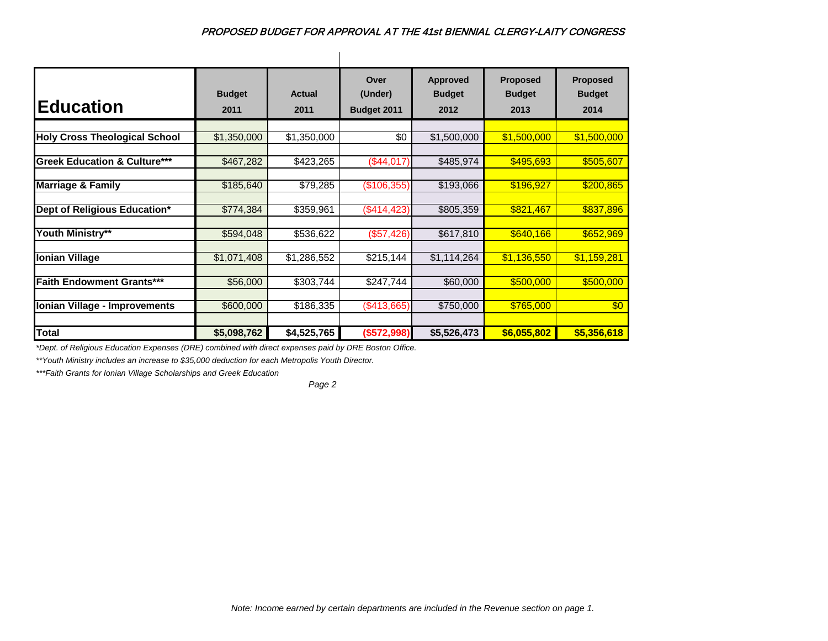| <b>Education</b>                        | <b>Budget</b><br>2011 | <b>Actual</b><br>2011 | Over<br>(Under)<br>Budget 2011 | <b>Approved</b><br><b>Budget</b><br>2012 | <b>Proposed</b><br><b>Budget</b><br>2013 | <b>Proposed</b><br><b>Budget</b><br>2014 |
|-----------------------------------------|-----------------------|-----------------------|--------------------------------|------------------------------------------|------------------------------------------|------------------------------------------|
| <b>Holy Cross Theological School</b>    | \$1,350,000           | \$1,350,000           | \$0                            | \$1,500,000                              | \$1,500,000                              | \$1,500,000                              |
| <b>Greek Education &amp; Culture***</b> | \$467,282             | \$423,265             | (\$44,017)                     | \$485,974                                | \$495,693                                | \$505,607                                |
| <b>Marriage &amp; Family</b>            | \$185,640             | \$79,285              | (\$106,355)                    | \$193,066                                | \$196,927                                | \$200,865                                |
| Dept of Religious Education*            | \$774,384             | \$359,961             | (\$414, 423)                   | \$805,359                                | \$821,467                                | \$837,896                                |
| Youth Ministry**                        | \$594,048             | \$536,622             | (\$57,426)                     | \$617,810                                | \$640,166                                | \$652,969                                |
| <b>Ionian Village</b>                   | \$1,071,408           | \$1,286,552           | \$215,144                      | \$1,114,264                              | \$1,136,550                              | \$1,159,281                              |
| <b>Faith Endowment Grants***</b>        | \$56,000              | \$303,744             | \$247,744                      | \$60,000                                 | \$500,000                                | \$500,000                                |
| Ionian Village - Improvements           | \$600,000             | \$186,335             | (\$413,665)                    | \$750,000                                | \$765,000                                | \$0                                      |
| Total                                   | \$5,098,762           | \$4,525,765           | (\$572,998)                    | \$5,526,473                              | \$6,055,802                              | \$5,356,618                              |

*\*Dept. of Religious Education Expenses (DRE) combined with direct expenses paid by DRE Boston Office.*

*\*\*Youth Ministry includes an increase to \$35,000 deduction for each Metropolis Youth Director.*

*\*\*\*Faith Grants for Ionian Village Scholarships and Greek Education*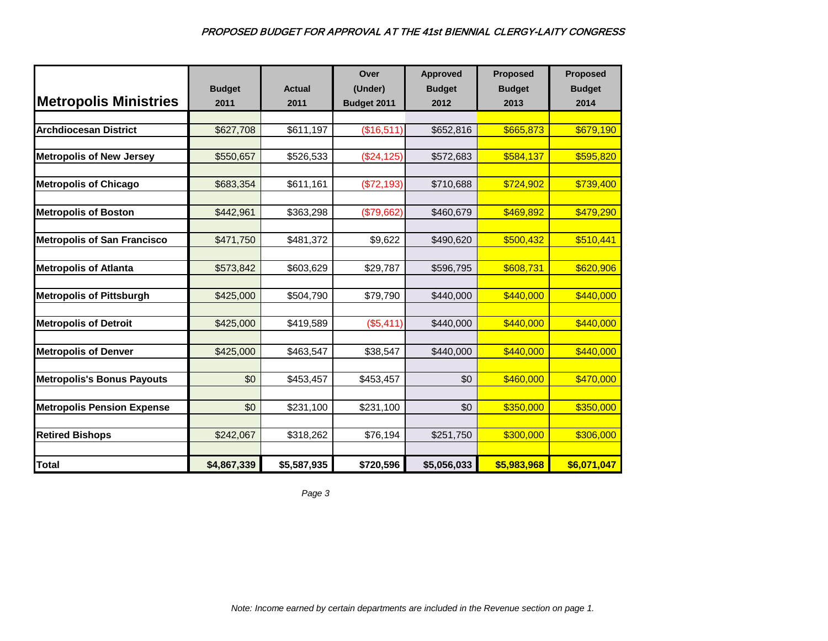|                                    |               |               | Over        | <b>Approved</b> | <b>Proposed</b> | Proposed      |
|------------------------------------|---------------|---------------|-------------|-----------------|-----------------|---------------|
|                                    | <b>Budget</b> | <b>Actual</b> | (Under)     | <b>Budget</b>   | <b>Budget</b>   | <b>Budget</b> |
| <b>Metropolis Ministries</b>       | 2011          | 2011          | Budget 2011 | 2012            | 2013            | 2014          |
|                                    |               |               |             |                 |                 |               |
| <b>Archdiocesan District</b>       | \$627,708     | \$611,197     | (\$16,511)  | \$652,816       | \$665,873       | \$679,190     |
| <b>Metropolis of New Jersey</b>    | \$550,657     | \$526,533     | (\$24, 125) | \$572,683       | \$584,137       | \$595,820     |
|                                    |               |               |             |                 |                 |               |
| <b>Metropolis of Chicago</b>       | \$683,354     | \$611,161     | (\$72,193)  | \$710,688       | \$724,902       | \$739,400     |
| <b>Metropolis of Boston</b>        | \$442,961     | \$363,298     | (\$79,662)  | \$460,679       | \$469,892       | \$479,290     |
|                                    |               |               |             |                 |                 |               |
| <b>Metropolis of San Francisco</b> | \$471,750     | \$481,372     | \$9,622     | \$490,620       | \$500,432       | \$510,441     |
|                                    |               |               |             |                 |                 |               |
| <b>Metropolis of Atlanta</b>       | \$573,842     | \$603,629     | \$29,787    | \$596,795       | \$608,731       | \$620,906     |
| <b>Metropolis of Pittsburgh</b>    | \$425,000     | \$504,790     | \$79,790    | \$440,000       | \$440,000       | \$440,000     |
| <b>Metropolis of Detroit</b>       | \$425,000     | \$419,589     | (\$5,411)   | \$440,000       | \$440,000       | \$440,000     |
| <b>Metropolis of Denver</b>        | \$425,000     | \$463,547     | \$38,547    | \$440,000       | \$440,000       | \$440,000     |
| <b>Metropolis's Bonus Payouts</b>  | \$0           | \$453,457     | \$453,457   | \$0             | \$460,000       | \$470,000     |
| <b>Metropolis Pension Expense</b>  | \$0           | \$231,100     | \$231,100   | \$0             | \$350,000       | \$350,000     |
| <b>Retired Bishops</b>             | \$242,067     | \$318,262     | \$76,194    | \$251,750       | \$300,000       | \$306,000     |
| <b>Total</b>                       | \$4,867,339   | \$5,587,935   | \$720,596   | \$5,056,033     | \$5,983,968     | \$6,071,047   |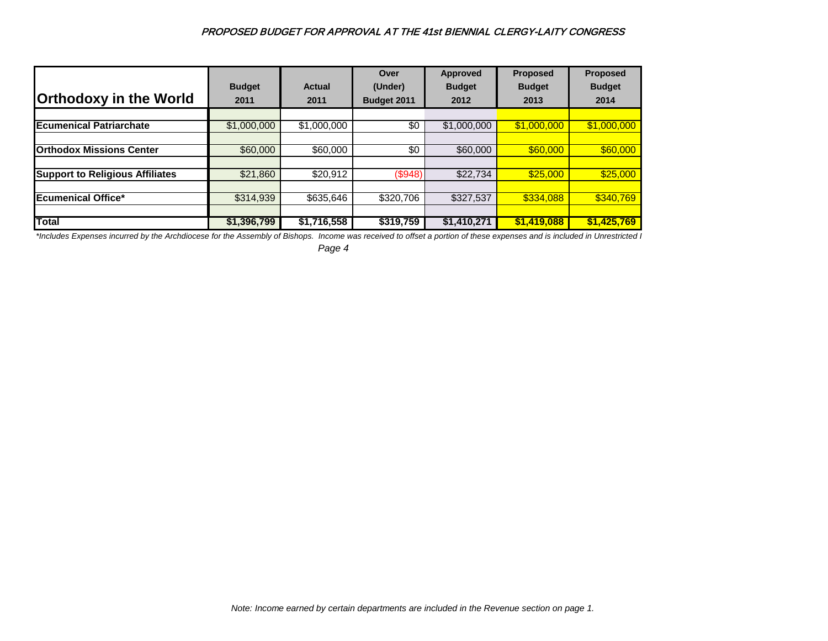|                                        |               |                        | Over               | <b>Approved</b> | <b>Proposed</b> | <b>Proposed</b> |
|----------------------------------------|---------------|------------------------|--------------------|-----------------|-----------------|-----------------|
|                                        | <b>Budget</b> | Actual                 | (Under)            | <b>Budget</b>   | <b>Budget</b>   | <b>Budget</b>   |
| <b>Orthodoxy in the World</b>          | 2011          | 2011                   | <b>Budget 2011</b> | 2012            | 2013            | 2014            |
|                                        |               |                        |                    |                 |                 |                 |
| <b>Ecumenical Patriarchate</b>         | \$1,000,000   | $\overline{1,000,000}$ | \$0                | \$1,000,000     | \$1,000,000     | \$1,000,000     |
|                                        |               |                        |                    |                 |                 |                 |
| <b>Orthodox Missions Center</b>        | \$60,000      | \$60,000               | \$0                | \$60,000        | \$60,000        | \$60,000        |
|                                        |               |                        |                    |                 |                 |                 |
| <b>Support to Religious Affiliates</b> | \$21,860      | \$20,912               | (\$948)            | \$22,734        | \$25,000        | \$25,000        |
|                                        |               |                        |                    |                 |                 |                 |
| <b>Ecumenical Office*</b>              | \$314,939     | \$635,646              | \$320,706          | \$327,537       | \$334,088       | \$340,769       |
|                                        |               |                        |                    |                 |                 |                 |
| <b>Total</b>                           | \$1,396,799   | \$1,716,558            | \$319,759          | \$1,410,271     | \$1,419,088     | \$1,425,769     |

*\*Includes Expenses incurred by the Archdiocese for the Assembly of Bishops. Income was received to offset a portion of these expenses and is included in Unrestricted I*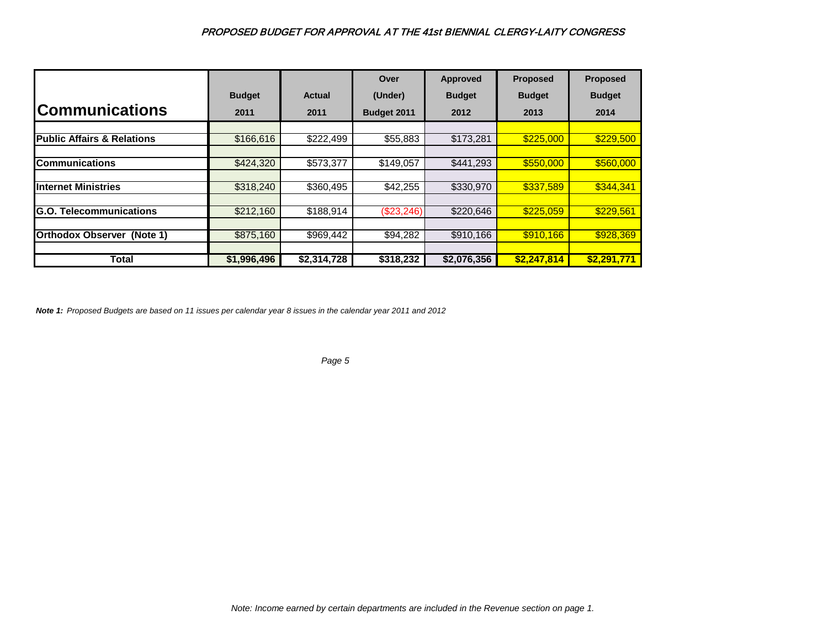|                                       |               |               | Over               | <b>Approved</b> | <b>Proposed</b> | <b>Proposed</b> |
|---------------------------------------|---------------|---------------|--------------------|-----------------|-----------------|-----------------|
|                                       | <b>Budget</b> | <b>Actual</b> | (Under)            | <b>Budget</b>   | <b>Budget</b>   | <b>Budget</b>   |
| <b>Communications</b>                 | 2011          | 2011          | <b>Budget 2011</b> | 2012            | 2013            | 2014            |
|                                       |               |               |                    |                 |                 |                 |
| <b>Public Affairs &amp; Relations</b> | \$166,616     | \$222,499     | \$55,883           | \$173,281       | \$225,000       | \$229,500       |
|                                       |               |               |                    |                 |                 |                 |
| <b>Communications</b>                 | \$424,320     | \$573,377     | \$149.057          | \$441.293       | \$550,000       | \$560,000       |
|                                       |               |               |                    |                 |                 |                 |
| <b>Internet Ministries</b>            | \$318,240     | \$360,495     | \$42,255           | \$330,970       | \$337,589       | \$344,341       |
|                                       |               |               |                    |                 |                 |                 |
| <b>G.O. Telecommunications</b>        | \$212,160     | \$188,914     | (\$23,246)         | \$220,646       | \$225,059       | \$229,561       |
|                                       |               |               |                    |                 |                 |                 |
| <b>Orthodox Observer (Note 1)</b>     | \$875,160     | \$969,442     | \$94,282           | \$910,166       | \$910,166       | \$928,369       |
|                                       |               |               |                    |                 |                 |                 |
| Total                                 | \$1,996,496   | \$2,314,728   | \$318,232          | \$2,076,356     | \$2,247,814     | \$2,291,771     |

*Note 1: Proposed Budgets are based on 11 issues per calendar year 8 issues in the calendar year 2011 and 2012*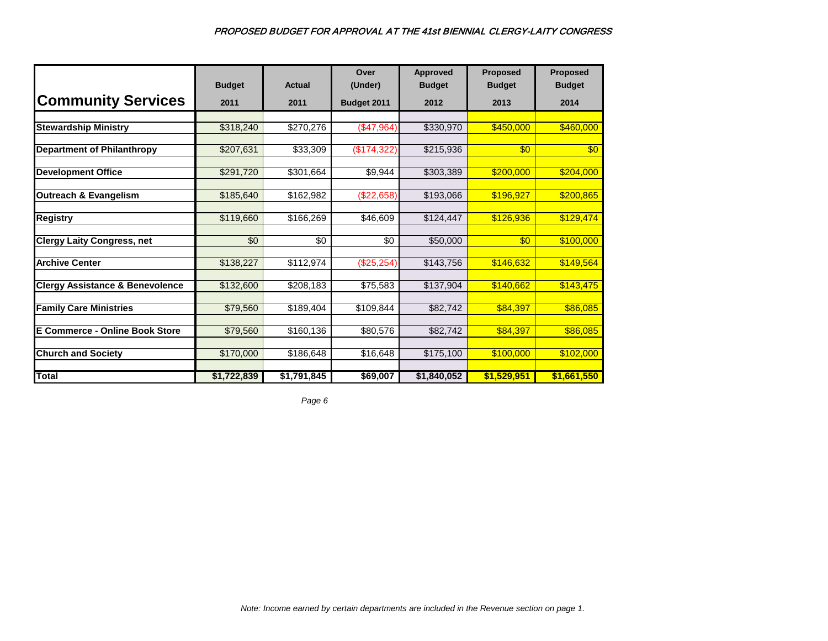|                                            | <b>Budget</b> | <b>Actual</b> | Over<br>(Under)      | <b>Approved</b><br><b>Budget</b> | <b>Proposed</b><br><b>Budget</b> | <b>Proposed</b><br><b>Budget</b> |
|--------------------------------------------|---------------|---------------|----------------------|----------------------------------|----------------------------------|----------------------------------|
| <b>Community Services</b>                  | 2011          | 2011          | Budget 2011          | 2012                             | 2013                             | 2014                             |
|                                            |               |               |                      |                                  |                                  |                                  |
| <b>Stewardship Ministry</b>                | \$318,240     | \$270,276     | (\$47,964)           | \$330,970                        | \$450,000                        | \$460,000                        |
| <b>Department of Philanthropy</b>          | \$207,631     | \$33,309      | (\$174,322)          | \$215,936                        | $\overline{60}$                  | \$0                              |
| <b>Development Office</b>                  | \$291,720     | \$301,664     | \$9,944              | \$303,389                        | \$200,000                        | \$204,000                        |
| <b>Outreach &amp; Evangelism</b>           | \$185,640     | \$162,982     | (\$22,658)           | \$193,066                        | \$196,927                        | \$200,865                        |
| <b>Registry</b>                            | \$119,660     | \$166,269     | \$46,609             | \$124,447                        | \$126,936                        | \$129,474                        |
| <b>Clergy Laity Congress, net</b>          | \$0           | \$0           | \$0                  | \$50,000                         | $\sqrt[6]{30}$                   | \$100,000                        |
| <b>Archive Center</b>                      | \$138,227     | \$112,974     | (\$25,254)           | \$143,756                        | \$146,632                        | \$149,564                        |
| <b>Clergy Assistance &amp; Benevolence</b> | \$132,600     | \$208,183     | $\overline{$75,583}$ | \$137,904                        | \$140,662                        | \$143,475                        |
| <b>Family Care Ministries</b>              | \$79,560      | \$189,404     | \$109,844            | \$82,742                         | \$84,397                         | \$86,085                         |
| <b>E Commerce - Online Book Store</b>      | \$79,560      | \$160,136     | \$80,576             | \$82,742                         | \$84,397                         | \$86,085                         |
| <b>Church and Society</b>                  | \$170,000     | \$186,648     | \$16,648             | \$175,100                        | \$100,000                        | \$102,000                        |
| Total                                      | \$1,722,839   | \$1,791,845   | \$69,007             | \$1,840,052                      | \$1,529,951                      | \$1,661,550                      |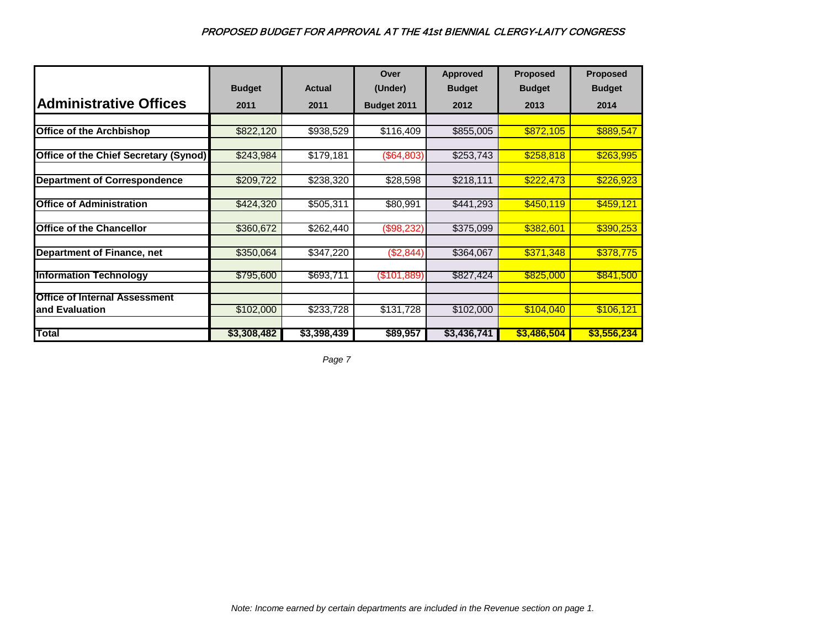|                                       |               |             | Over          | <b>Approved</b> | <b>Proposed</b> | <b>Proposed</b> |
|---------------------------------------|---------------|-------------|---------------|-----------------|-----------------|-----------------|
|                                       | <b>Budget</b> | Actual      | (Under)       | <b>Budget</b>   | <b>Budget</b>   | <b>Budget</b>   |
| <b>Administrative Offices</b>         | 2011          | 2011        | Budget 2011   | 2012            | 2013            | 2014            |
|                                       |               |             |               |                 |                 |                 |
| <b>Office of the Archbishop</b>       | \$822,120     | \$938,529   | \$116,409     | \$855,005       | \$872,105       | \$889,547       |
|                                       |               |             |               |                 |                 |                 |
| Office of the Chief Secretary (Synod) | \$243,984     | \$179,181   | (\$64,803)    | \$253,743       | \$258,818       | \$263,995       |
|                                       |               |             |               |                 |                 |                 |
| <b>Department of Correspondence</b>   | \$209,722     | \$238,320   | \$28,598      | \$218,111       | \$222,473       | \$226,923       |
|                                       |               |             |               |                 |                 |                 |
| <b>Office of Administration</b>       | \$424,320     | \$505,311   | \$80,991      | \$441,293       | \$450,119       | \$459,121       |
|                                       |               |             |               |                 |                 |                 |
| <b>Office of the Chancellor</b>       | \$360,672     | \$262,440   | (\$98,232)    | \$375,099       | \$382,601       | \$390,253       |
|                                       |               |             |               |                 |                 |                 |
| <b>Department of Finance, net</b>     | \$350,064     | \$347,220   | (\$2,844)     | \$364,067       | \$371,348       | \$378,775       |
| <b>Information Technology</b>         | \$795,600     | \$693,711   | $(\$101,889)$ | \$827,424       | \$825,000       | \$841,500       |
|                                       |               |             |               |                 |                 |                 |
| <b>Office of Internal Assessment</b>  |               |             |               |                 |                 |                 |
| and Evaluation                        | \$102,000     | \$233,728   | \$131,728     | \$102,000       | \$104,040       | \$106,121       |
|                                       |               |             |               |                 |                 |                 |
| <b>Total</b>                          | \$3,308,482   | \$3,398,439 | \$89,957      | \$3,436,741     | \$3,486,504     | \$3,556,234     |